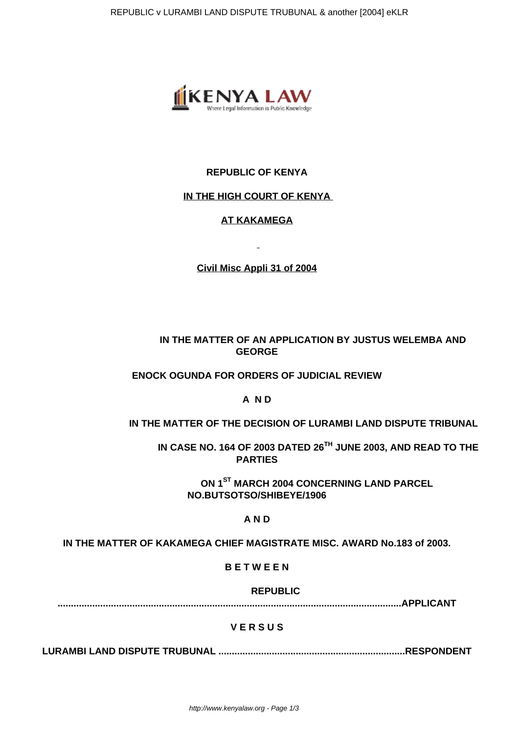

## **REPUBLIC OF KENYA**

#### **IN THE HIGH COURT OF KENYA**

# **AT KAKAMEGA**

**Civil Misc Appli 31 of 2004**

# **IN THE MATTER OF AN APPLICATION BY JUSTUS WELEMBA AND GEORGE**

## **ENOCK OGUNDA FOR ORDERS OF JUDICIAL REVIEW**

## **A N D**

## **IN THE MATTER OF THE DECISION OF LURAMBI LAND DISPUTE TRIBUNAL**

 **IN CASE NO. 164 OF 2003 DATED 26TH JUNE 2003, AND READ TO THE PARTIES**

**ON 1ST MARCH 2004 CONCERNING LAND PARCEL NO.BUTSOTSO/SHIBEYE/1906**

# **A N D**

**IN THE MATTER OF KAKAMEGA CHIEF MAGISTRATE MISC. AWARD No.183 of 2003.**

**B E T W E E N**

 **REPUBLIC**

**.................................................................................................................................APPLICANT**

## **V E R S U S**

**LURAMBI LAND DISPUTE TRUBUNAL ......................................................................RESPONDENT**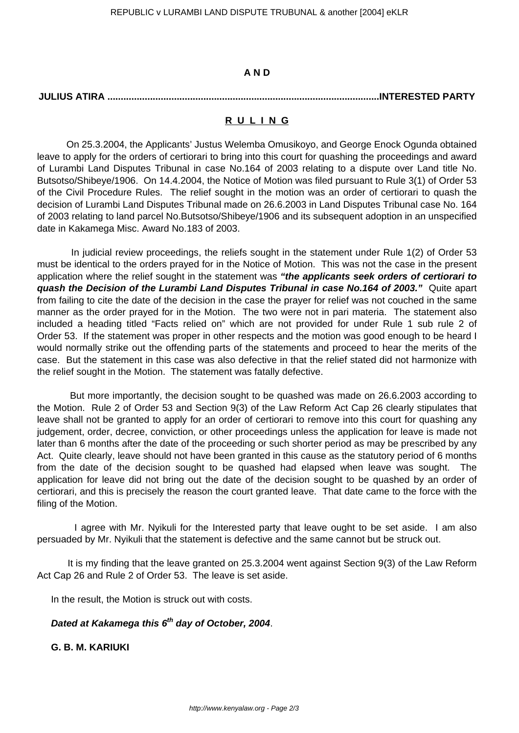#### **A N D**

## **JULIUS ATIRA ......................................................................................................INTERESTED PARTY**

#### **R U L I N G**

 On 25.3.2004, the Applicants' Justus Welemba Omusikoyo, and George Enock Ogunda obtained leave to apply for the orders of certiorari to bring into this court for quashing the proceedings and award of Lurambi Land Disputes Tribunal in case No.164 of 2003 relating to a dispute over Land title No. Butsotso/Shibeye/1906. On 14.4.2004, the Notice of Motion was filed pursuant to Rule 3(1) of Order 53 of the Civil Procedure Rules. The relief sought in the motion was an order of certiorari to quash the decision of Lurambi Land Disputes Tribunal made on 26.6.2003 in Land Disputes Tribunal case No. 164 of 2003 relating to land parcel No.Butsotso/Shibeye/1906 and its subsequent adoption in an unspecified date in Kakamega Misc. Award No.183 of 2003.

 In judicial review proceedings, the reliefs sought in the statement under Rule 1(2) of Order 53 must be identical to the orders prayed for in the Notice of Motion. This was not the case in the present application where the relief sought in the statement was **"the applicants seek orders of certiorari to quash the Decision of the Lurambi Land Disputes Tribunal in case No.164 of 2003."** Quite apart from failing to cite the date of the decision in the case the prayer for relief was not couched in the same manner as the order prayed for in the Motion. The two were not in pari materia. The statement also included a heading titled "Facts relied on" which are not provided for under Rule 1 sub rule 2 of Order 53. If the statement was proper in other respects and the motion was good enough to be heard I would normally strike out the offending parts of the statements and proceed to hear the merits of the case. But the statement in this case was also defective in that the relief stated did not harmonize with the relief sought in the Motion. The statement was fatally defective.

 But more importantly, the decision sought to be quashed was made on 26.6.2003 according to the Motion. Rule 2 of Order 53 and Section 9(3) of the Law Reform Act Cap 26 clearly stipulates that leave shall not be granted to apply for an order of certiorari to remove into this court for quashing any judgement, order, decree, conviction, or other proceedings unless the application for leave is made not later than 6 months after the date of the proceeding or such shorter period as may be prescribed by any Act. Quite clearly, leave should not have been granted in this cause as the statutory period of 6 months from the date of the decision sought to be quashed had elapsed when leave was sought. The application for leave did not bring out the date of the decision sought to be quashed by an order of certiorari, and this is precisely the reason the court granted leave. That date came to the force with the filing of the Motion.

 I agree with Mr. Nyikuli for the Interested party that leave ought to be set aside. I am also persuaded by Mr. Nyikuli that the statement is defective and the same cannot but be struck out.

 It is my finding that the leave granted on 25.3.2004 went against Section 9(3) of the Law Reform Act Cap 26 and Rule 2 of Order 53. The leave is set aside.

In the result, the Motion is struck out with costs.

# **Dated at Kakamega this 6th day of October, 2004**.

# **G. B. M. KARIUKI**